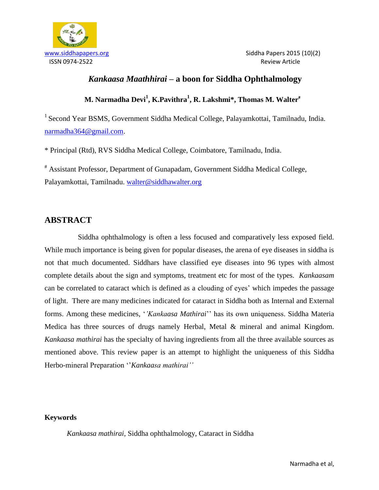

# *Kankaasa Maathhirai* **– a boon for Siddha Ophthalmology**

## **M. Narmadha Devi<sup>1</sup> , K.Pavithra<sup>1</sup> , R. Lakshmi\*, Thomas M. Walter#**

<sup>1</sup> Second Year BSMS, Government Siddha Medical College, Palayamkottai, Tamilnadu, India. [narmadha364@gmail.com.](mailto:narmadha364@gmail.com)

\* Principal (Rtd), RVS Siddha Medical College, Coimbatore, Tamilnadu, India.

# Assistant Professor, Department of Gunapadam, Government Siddha Medical College, Palayamkottai, Tamilnadu. [walter@siddhawalter.org](mailto:walter@siddhawalter.org)

## **ABSTRACT**

 Siddha ophthalmology is often a less focused and comparatively less exposed field. While much importance is being given for popular diseases, the arena of eye diseases in siddha is not that much documented. Siddhars have classified eye diseases into 96 types with almost complete details about the sign and symptoms, treatment etc for most of the types. *Kankaasam* can be correlated to cataract which is defined as a clouding of eyes" which impedes the passage of light. There are many medicines indicated for cataract in Siddha both as Internal and External forms. Among these medicines, "*'Kankaasa Mathirai*"" has its own uniqueness. Siddha Materia Medica has three sources of drugs namely Herbal, Metal & mineral and animal Kingdom. *Kankaasa mathirai* has the specialty of having ingredients from all the three available sources as mentioned above. This review paper is an attempt to highlight the uniqueness of this Siddha Herbo-mineral Preparation "*Kankaasa mathirai*"

### **Keywords**

*Kankaasa mathirai*, Siddha ophthalmology, Cataract in Siddha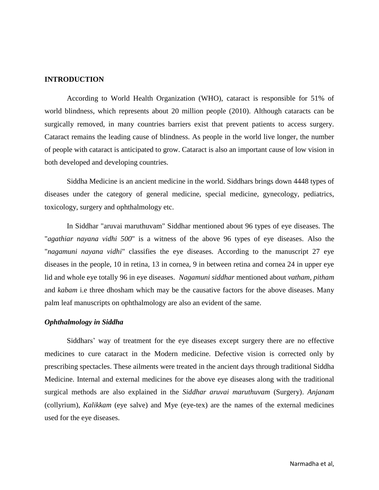#### **INTRODUCTION**

According to World Health Organization (WHO), cataract is responsible for 51% of world blindness, which represents about 20 million people (2010). Although cataracts can be surgically removed, in many countries barriers exist that prevent patients to access surgery. Cataract remains the leading cause of blindness. As people in the world live longer, the number of people with cataract is anticipated to grow. Cataract is also an important cause of low vision in both developed and developing countries.

Siddha Medicine is an ancient medicine in the world. Siddhars brings down 4448 types of diseases under the category of general medicine, special medicine, gynecology, pediatrics, toxicology, surgery and ophthalmology etc.

In Siddhar "aruvai maruthuvam" Siddhar mentioned about 96 types of eye diseases. The "*agathiar nayana vidhi 500*" is a witness of the above 96 types of eye diseases. Also the "*nagamuni nayana vidhi*" classifies the eye diseases. According to the manuscript 27 eye diseases in the people, 10 in retina, 13 in cornea, 9 in between retina and cornea 24 in upper eye lid and whole eye totally 96 in eye diseases. *Nagamuni siddhar* mentioned about *vatham, pitham* and *kabam* i.e three dhosham which may be the causative factors for the above diseases. Many palm leaf manuscripts on ophthalmology are also an evident of the same.

#### *Ophthalmology in Siddha*

Siddhars" way of treatment for the eye diseases except surgery there are no effective medicines to cure cataract in the Modern medicine. Defective vision is corrected only by prescribing spectacles. These ailments were treated in the ancient days through traditional Siddha Medicine. Internal and external medicines for the above eye diseases along with the traditional surgical methods are also explained in the *Siddhar aruvai maruthuvam* (Surgery). *Anjanam* (collyrium), *Kalikkam* (eye salve) and Mye (eye-tex) are the names of the external medicines used for the eye diseases.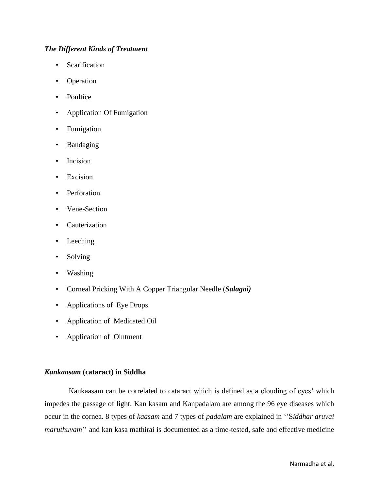#### *The Different Kinds of Treatment*

- **Scarification**
- Operation
- Poultice
- Application Of Fumigation
- Fumigation
- Bandaging
- Incision
- Excision
- Perforation
- Vene-Section
- Cauterization
- Leeching
- Solving
- Washing
- Corneal Pricking With A Copper Triangular Needle (*Salagai)*
- Applications of Eye Drops
- Application of Medicated Oil
- Application of Ointment

#### *Kankaasam* **(cataract) in Siddha**

Kankaasam can be correlated to cataract which is defined as a clouding of eyes' which impedes the passage of light. Kan kasam and Kanpadalam are among the 96 eye diseases which occur in the cornea. 8 types of *kaasam* and 7 types of *padalam* are explained in ""S*iddhar aruvai maruthuvam*" and kan kasa mathirai is documented as a time-tested, safe and effective medicine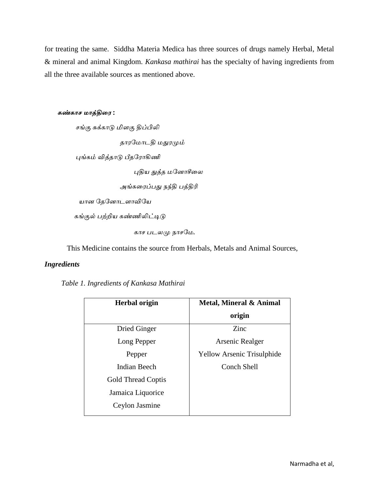for treating the same. Siddha Materia Medica has three sources of drugs namely Herbal, Metal & mineral and animal Kingdom. *Kankasa mathirai* has the specialty of having ingredients from all the three available sources as mentioned above.

*கண்காச மாத்திரை* **:** *சங்கு சுக்காடு மிளகு திப்பிலி தாரம ாடதி துரமும் புங்கம் வித்தாடு பீதமராகிணி புதிய துத்த ம ாசீலை அங்கலரப்பது நந்தி பத்திரி யான தேனோடளாவியே கங்குல் பற்றிய கண்ணிலிட்டிடு காச படலமு நாசமே.* 

This Medicine contains the source from Herbals, Metals and Animal Sources,

### *Ingredients*

 *Table 1. Ingredients of Kankasa Mathirai*

| <b>Herbal origin</b>      | Metal, Mineral & Animal           |  |
|---------------------------|-----------------------------------|--|
|                           | origin                            |  |
| Dried Ginger              | Zinc                              |  |
| Long Pepper               | Arsenic Realger                   |  |
| Pepper                    | <b>Yellow Arsenic Trisulphide</b> |  |
| Indian Beech              | Conch Shell                       |  |
| <b>Gold Thread Coptis</b> |                                   |  |
| Jamaica Liquorice         |                                   |  |
| Ceylon Jasmine            |                                   |  |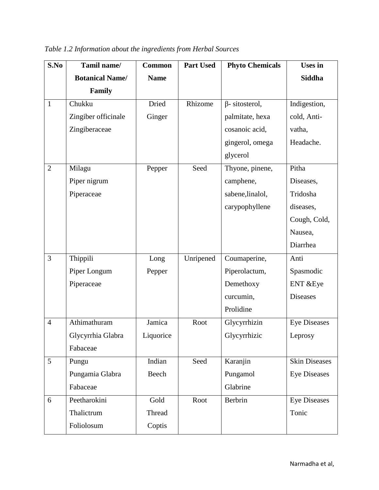| S.No           | Tamil name/            | <b>Common</b> | <b>Part Used</b> | <b>Phyto Chemicals</b> | <b>Uses</b> in       |
|----------------|------------------------|---------------|------------------|------------------------|----------------------|
|                | <b>Botanical Name/</b> | <b>Name</b>   |                  |                        | Siddha               |
|                | Family                 |               |                  |                        |                      |
| $\mathbf{1}$   | Chukku                 | Dried         | Rhizome          | $\beta$ - sitosterol,  | Indigestion,         |
|                | Zingiber officinale    | Ginger        |                  | palmitate, hexa        | cold, Anti-          |
|                | Zingiberaceae          |               |                  | cosanoic acid,         | vatha,               |
|                |                        |               |                  | gingerol, omega        | Headache.            |
|                |                        |               |                  | glycerol               |                      |
| $\overline{2}$ | Milagu                 | Pepper        | Seed             | Thyone, pinene,        | Pitha                |
|                | Piper nigrum           |               |                  | camphene,              | Diseases,            |
|                | Piperaceae             |               |                  | sabene, linalol,       | Tridosha             |
|                |                        |               |                  | carypophyllene         | diseases,            |
|                |                        |               |                  |                        | Cough, Cold,         |
|                |                        |               |                  |                        | Nausea,              |
|                |                        |               |                  |                        | Diarrhea             |
| 3              | Thippili               | Long          | Unripened        | Coumaperine,           | Anti                 |
|                | Piper Longum           | Pepper        |                  | Piperolactum,          | Spasmodic            |
|                | Piperaceae             |               |                  | Demethoxy              | <b>ENT &amp;Eye</b>  |
|                |                        |               |                  | curcumin,              | <b>Diseases</b>      |
|                |                        |               |                  | Prolidine              |                      |
| $\overline{4}$ | Athimathuram           | Jamica        | Root             | Glycyrrhizin           | <b>Eye Diseases</b>  |
|                | Glycyrrhia Glabra      | Liquorice     |                  | Glycyrrhizic           | Leprosy              |
|                | Fabaceae               |               |                  |                        |                      |
| 5              | Pungu                  | Indian        | Seed             | Karanjin               | <b>Skin Diseases</b> |
|                | Pungamia Glabra        | Beech         |                  | Pungamol               | <b>Eye Diseases</b>  |
|                | Fabaceae               |               |                  | Glabrine               |                      |
| 6              | Peetharokini           | Gold          | Root             | Berbrin                | <b>Eye Diseases</b>  |
|                | Thalictrum             | Thread        |                  |                        | Tonic                |
|                | Foliolosum             | Coptis        |                  |                        |                      |

*Table 1.2 Information about the ingredients from Herbal Sources*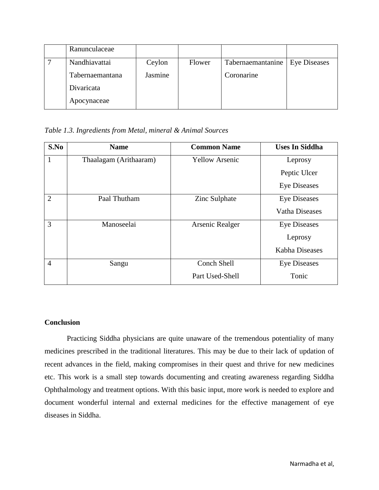| Ranunculaceae   |         |        |                   |              |
|-----------------|---------|--------|-------------------|--------------|
| Nandhiavattai   | Ceylon  | Flower | Tabernaemantanine | Eye Diseases |
| Tabernaemantana | Jasmine |        | Coronarine        |              |
| Divaricata      |         |        |                   |              |
| Apocynaceae     |         |        |                   |              |

*Table 1.3. Ingredients from Metal, mineral & Animal Sources*

| S.No           | <b>Name</b>            | <b>Common Name</b>    | <b>Uses In Siddha</b> |
|----------------|------------------------|-----------------------|-----------------------|
| $\mathbf{1}$   | Thaalagam (Arithaaram) | <b>Yellow Arsenic</b> | Leprosy               |
|                |                        |                       | Peptic Ulcer          |
|                |                        |                       | <b>Eye Diseases</b>   |
| $\overline{2}$ | Paal Thutham           | Zinc Sulphate         | <b>Eye Diseases</b>   |
|                |                        |                       | <b>Vatha Diseases</b> |
| 3              | Manoseelai             | Arsenic Realger       | <b>Eye Diseases</b>   |
|                |                        |                       | Leprosy               |
|                |                        |                       | Kabha Diseases        |
| $\overline{4}$ | Sangu                  | <b>Conch Shell</b>    | <b>Eye Diseases</b>   |
|                |                        | Part Used-Shell       | Tonic                 |

#### **Conclusion**

Practicing Siddha physicians are quite unaware of the tremendous potentiality of many medicines prescribed in the traditional literatures. This may be due to their lack of updation of recent advances in the field, making compromises in their quest and thrive for new medicines etc. This work is a small step towards documenting and creating awareness regarding Siddha Ophthalmology and treatment options. With this basic input, more work is needed to explore and document wonderful internal and external medicines for the effective management of eye diseases in Siddha.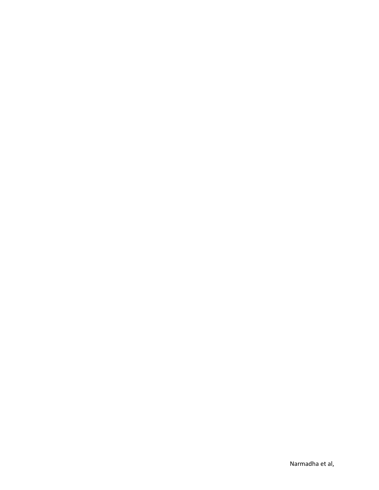Narmadha et al,